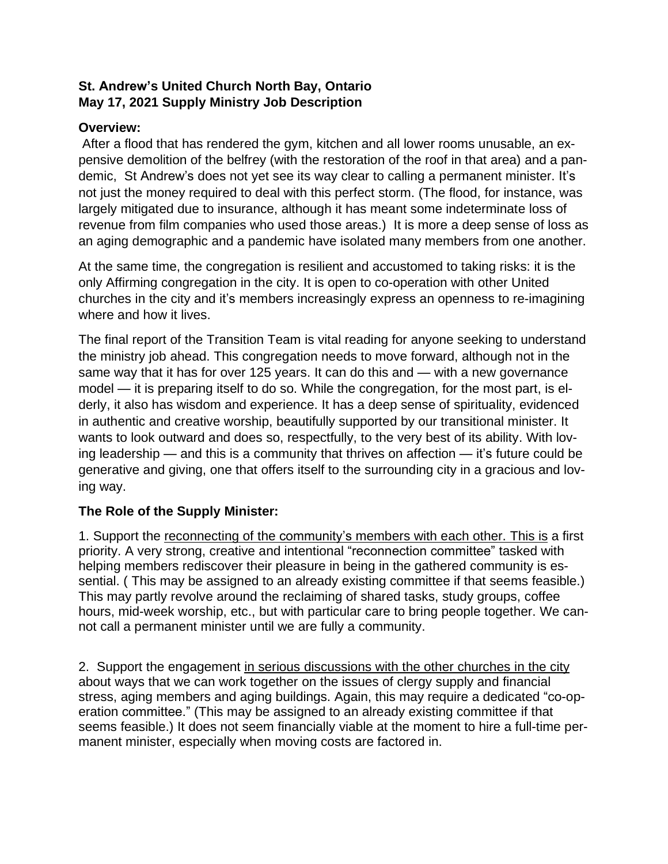### **St. Andrew's United Church North Bay, Ontario May 17, 2021 Supply Ministry Job Description**

#### **Overview:**

After a flood that has rendered the gym, kitchen and all lower rooms unusable, an expensive demolition of the belfrey (with the restoration of the roof in that area) and a pandemic, St Andrew's does not yet see its way clear to calling a permanent minister. It's not just the money required to deal with this perfect storm. (The flood, for instance, was largely mitigated due to insurance, although it has meant some indeterminate loss of revenue from film companies who used those areas.) It is more a deep sense of loss as an aging demographic and a pandemic have isolated many members from one another.

At the same time, the congregation is resilient and accustomed to taking risks: it is the only Affirming congregation in the city. It is open to co-operation with other United churches in the city and it's members increasingly express an openness to re-imagining where and how it lives.

The final report of the Transition Team is vital reading for anyone seeking to understand the ministry job ahead. This congregation needs to move forward, although not in the same way that it has for over 125 years. It can do this and — with a new governance model — it is preparing itself to do so. While the congregation, for the most part, is elderly, it also has wisdom and experience. It has a deep sense of spirituality, evidenced in authentic and creative worship, beautifully supported by our transitional minister. It wants to look outward and does so, respectfully, to the very best of its ability. With loving leadership — and this is a community that thrives on affection — it's future could be generative and giving, one that offers itself to the surrounding city in a gracious and loving way.

### **The Role of the Supply Minister:**

1. Support the reconnecting of the community's members with each other. This is a first priority. A very strong, creative and intentional "reconnection committee" tasked with helping members rediscover their pleasure in being in the gathered community is essential. ( This may be assigned to an already existing committee if that seems feasible.) This may partly revolve around the reclaiming of shared tasks, study groups, coffee hours, mid-week worship, etc., but with particular care to bring people together. We cannot call a permanent minister until we are fully a community.

2. Support the engagement in serious discussions with the other churches in the city about ways that we can work together on the issues of clergy supply and financial stress, aging members and aging buildings. Again, this may require a dedicated "co-operation committee." (This may be assigned to an already existing committee if that seems feasible.) It does not seem financially viable at the moment to hire a full-time permanent minister, especially when moving costs are factored in.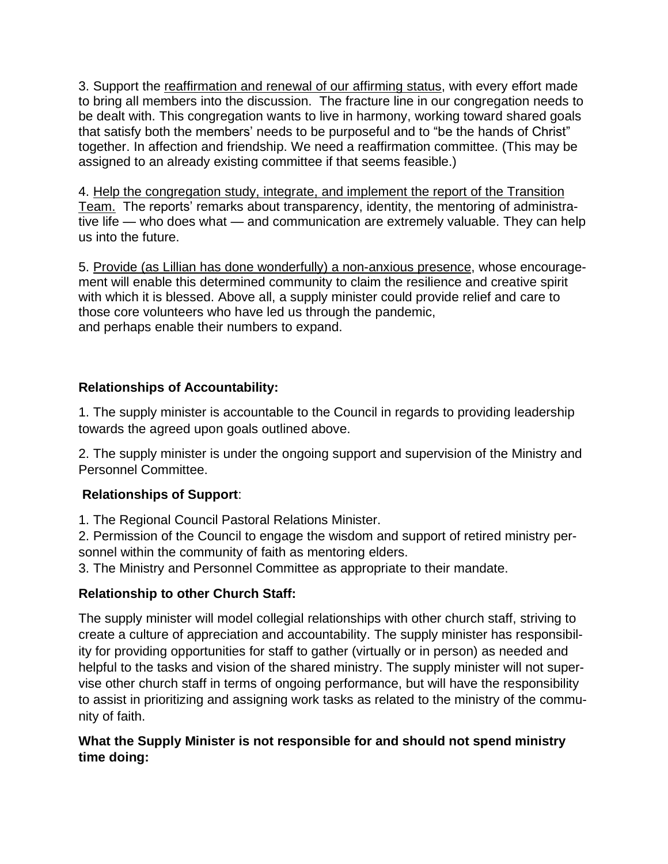3. Support the reaffirmation and renewal of our affirming status, with every effort made to bring all members into the discussion. The fracture line in our congregation needs to be dealt with. This congregation wants to live in harmony, working toward shared goals that satisfy both the members' needs to be purposeful and to "be the hands of Christ" together. In affection and friendship. We need a reaffirmation committee. (This may be assigned to an already existing committee if that seems feasible.)

4. Help the congregation study, integrate, and implement the report of the Transition Team. The reports' remarks about transparency, identity, the mentoring of administrative life — who does what — and communication are extremely valuable. They can help us into the future.

5. Provide (as Lillian has done wonderfully) a non-anxious presence, whose encouragement will enable this determined community to claim the resilience and creative spirit with which it is blessed. Above all, a supply minister could provide relief and care to those core volunteers who have led us through the pandemic, and perhaps enable their numbers to expand.

# **Relationships of Accountability:**

1. The supply minister is accountable to the Council in regards to providing leadership towards the agreed upon goals outlined above.

2. The supply minister is under the ongoing support and supervision of the Ministry and Personnel Committee.

### **Relationships of Support**:

1. The Regional Council Pastoral Relations Minister.

2. Permission of the Council to engage the wisdom and support of retired ministry personnel within the community of faith as mentoring elders.

3. The Ministry and Personnel Committee as appropriate to their mandate.

### **Relationship to other Church Staff:**

The supply minister will model collegial relationships with other church staff, striving to create a culture of appreciation and accountability. The supply minister has responsibility for providing opportunities for staff to gather (virtually or in person) as needed and helpful to the tasks and vision of the shared ministry. The supply minister will not supervise other church staff in terms of ongoing performance, but will have the responsibility to assist in prioritizing and assigning work tasks as related to the ministry of the community of faith.

### **What the Supply Minister is not responsible for and should not spend ministry time doing:**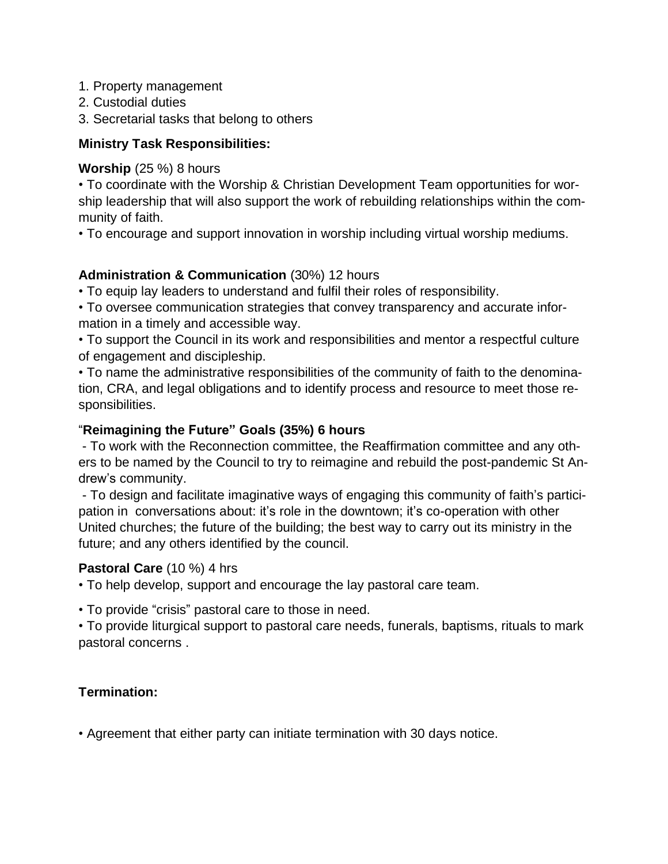- 1. Property management
- 2. Custodial duties

3. Secretarial tasks that belong to others

### **Ministry Task Responsibilities:**

#### **Worship** (25 %) 8 hours

• To coordinate with the Worship & Christian Development Team opportunities for worship leadership that will also support the work of rebuilding relationships within the community of faith.

• To encourage and support innovation in worship including virtual worship mediums.

## **Administration & Communication** (30%) 12 hours

• To equip lay leaders to understand and fulfil their roles of responsibility.

• To oversee communication strategies that convey transparency and accurate information in a timely and accessible way.

• To support the Council in its work and responsibilities and mentor a respectful culture of engagement and discipleship.

• To name the administrative responsibilities of the community of faith to the denomination, CRA, and legal obligations and to identify process and resource to meet those responsibilities.

## "**Reimagining the Future" Goals (35%) 6 hours**

- To work with the Reconnection committee, the Reaffirmation committee and any others to be named by the Council to try to reimagine and rebuild the post-pandemic St Andrew's community.

- To design and facilitate imaginative ways of engaging this community of faith's participation in conversations about: it's role in the downtown; it's co-operation with other United churches; the future of the building; the best way to carry out its ministry in the future; and any others identified by the council.

### **Pastoral Care** (10 %) 4 hrs

• To help develop, support and encourage the lay pastoral care team.

• To provide "crisis" pastoral care to those in need.

• To provide liturgical support to pastoral care needs, funerals, baptisms, rituals to mark pastoral concerns .

# **Termination:**

• Agreement that either party can initiate termination with 30 days notice.